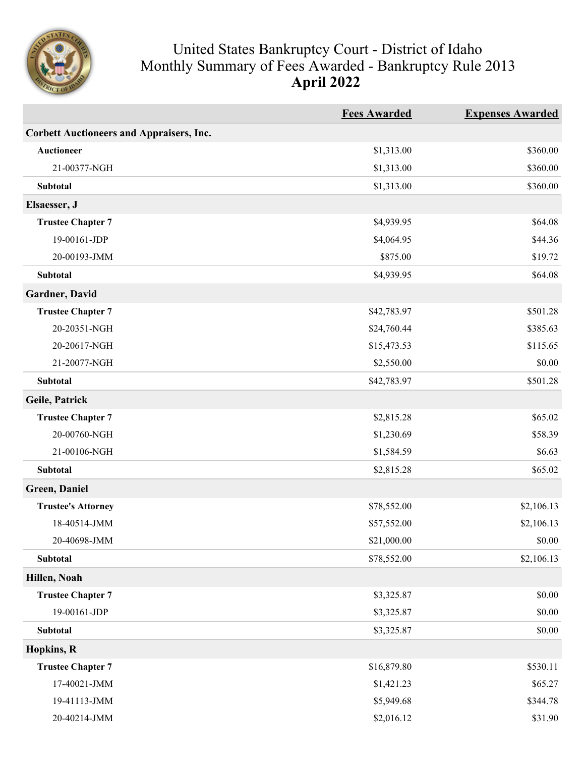

## United States Bankruptcy Court - District of Idaho Monthly Summary of Fees Awarded - Bankruptcy Rule 2013 **April 2022**

|                                                 | <b>Fees Awarded</b> | <b>Expenses Awarded</b> |
|-------------------------------------------------|---------------------|-------------------------|
| <b>Corbett Auctioneers and Appraisers, Inc.</b> |                     |                         |
| <b>Auctioneer</b>                               | \$1,313.00          | \$360.00                |
| 21-00377-NGH                                    | \$1,313.00          | \$360.00                |
| Subtotal                                        | \$1,313.00          | \$360.00                |
| Elsaesser, J                                    |                     |                         |
| <b>Trustee Chapter 7</b>                        | \$4,939.95          | \$64.08                 |
| 19-00161-JDP                                    | \$4,064.95          | \$44.36                 |
| 20-00193-JMM                                    | \$875.00            | \$19.72                 |
| Subtotal                                        | \$4,939.95          | \$64.08                 |
| Gardner, David                                  |                     |                         |
| <b>Trustee Chapter 7</b>                        | \$42,783.97         | \$501.28                |
| 20-20351-NGH                                    | \$24,760.44         | \$385.63                |
| 20-20617-NGH                                    | \$15,473.53         | \$115.65                |
| 21-20077-NGH                                    | \$2,550.00          | \$0.00                  |
| Subtotal                                        | \$42,783.97         | \$501.28                |
| Geile, Patrick                                  |                     |                         |
| <b>Trustee Chapter 7</b>                        | \$2,815.28          | \$65.02                 |
| 20-00760-NGH                                    | \$1,230.69          | \$58.39                 |
| 21-00106-NGH                                    | \$1,584.59          | \$6.63                  |
| Subtotal                                        | \$2,815.28          | \$65.02                 |
| <b>Green</b> , Daniel                           |                     |                         |
| <b>Trustee's Attorney</b>                       | \$78,552.00         | \$2,106.13              |
| 18-40514-JMM                                    | \$57,552.00         | \$2,106.13              |
| 20-40698-JMM                                    | \$21,000.00         | \$0.00                  |
| Subtotal                                        | \$78,552.00         | \$2,106.13              |
| Hillen, Noah                                    |                     |                         |
| <b>Trustee Chapter 7</b>                        | \$3,325.87          | \$0.00                  |
| 19-00161-JDP                                    | \$3,325.87          | \$0.00                  |
| <b>Subtotal</b>                                 | \$3,325.87          | \$0.00                  |
| Hopkins, R                                      |                     |                         |
| <b>Trustee Chapter 7</b>                        | \$16,879.80         | \$530.11                |
| 17-40021-JMM                                    | \$1,421.23          | \$65.27                 |
| 19-41113-JMM                                    | \$5,949.68          | \$344.78                |
| 20-40214-JMM                                    | \$2,016.12          | \$31.90                 |